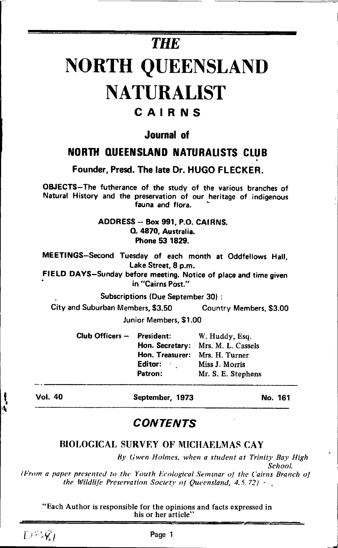# **THE NORTH QUEENSLAND NATURALIST**

# CAIRNS

## **dournal** of

# **NORTH QUEENSLAND NATURALISTS CLUB**

Founder, Presd. The late Dr. HUGO FLECKER.

OBJECTS-The futherance of the study of the various branches of Natural History and the preservation of our heritage of indigenous fauna and flora.

> ADDRESS - Box 991, P.O. CAIRNS. O. 4870. Australia. Phone 53 1829.

MEETINGS-Second Tuesday of each month at Oddfellows Hall, Lake Street, 8 p.m.

FIELD DAYS-Sunday before meeting. Notice of place and time given in "Cairns Post."

**Subscriptions (Due September 30):** 

City and Suburban Members, \$3,50 Country Members, \$3.00 Junior Members, \$1,00

| President:      | W. Huddy, Esq.                     |
|-----------------|------------------------------------|
|                 | Hon. Secretary: Mrs. M. L. Cassels |
| Hon. Treasurer: | Mrs. H. Turner                     |
| Editor:         | Miss J. Morris                     |
| Patron:         | Mr. S. E. Stephens                 |
|                 | Club Officers -                    |

Vol. 40

September, 1973

No. 161

# **CONTENTS**

## **BIOLOGICAL SURVEY OF MICHAELMAS CAY**

By Gwen Holmes, when a student at Trinity Bay High School.

(From a paper presented to the Youth Ecological Seminar of the Cairns Branch of the Wildlife Preservation Society of Queensland,  $4.5.72$ )  $\cdot$ 

"Each Author is responsible for the opinions and facts expressed in his or her article'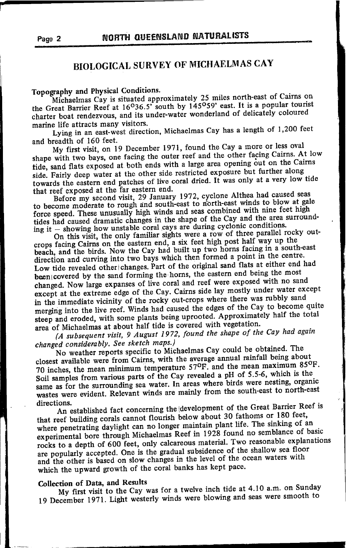# **BIOLOGICAL SURVEY OF MICHAELMAS CAY**

Topography and Physical Conditions.

Michaelmas Cay is situated approximately 25 miles north-east of Cairns on the Great Barrier Reef at 16<sup>0</sup>36.5' south by 145<sup>0</sup>59' east. It is a popular tourist charter boat rendezvous, and its under-water wonderland of delicately coloured marine life attracts many visitors.

Lying in an east-west direction, Michaelmas Cay has a length of 1,200 feet and breadth of 160 feet.

My first visit, on 19 December 1971, found the Cay a more or less oval shape with two bays, one facing the outer reef and the other facing Cairns. At low tide, sand flats exposed at both ends with a large area opening out on the Cairns side. Fairly deep water at the other side restricted exposure but further along towards the eastern end patches of live coral dried. It was only at a very low tide that reef exposed at the far eastern end.

Before my second visit, 29 January 1972, cyclone Althea had caused seas to become moderate to rough and south-east to north-east winds to blow at gale force speed. These unusually high winds and seas combined with nine feet high tides had caused dramatic changes in the shape of the Cay and the area surrounding it - showing how unstable coral cays are during cyclonic conditions.

On this visit, the only familiar sights were a row of three parallel rocky outcrops facing Cairns on the eastern end, a six feet high post half way up the beach, and the birds. Now the Cay had built up two horns facing in a south-east direction and curving into two bays which then formed a point in the centre. Low tide revealed other changes. Part of the original sand flats at either end had been covered by the sand forming the horns, the eastern end being the most changed. Now large expanses of live coral and reef were exposed with no sand except at the extreme edge of the Cay. Cairns side lay mostly under water except in the immediate vicinity of the rocky out-crops where there was rubbly sand merging into the live reef. Winds had caused the edges of the Cay to become quite steep and eroded, with some plants being uprooted. Approximately half the total area of Michaelmas at about half tide is covered with vegetation.

(A subsequent visit, 9 August 1972, found the shape of the Cay had again changed considerably. See sketch maps.)

No weather reports specific to Michaelmas Cay could be obtained. The closest available were from Cairns, with the average annual rainfall being about 70 inches, the mean minimum temperature 57°F. and the mean maximum 85°F. Soil samples from various parts of the Cay revealed a pH of 5.5-6, which is the same as for the surrounding sea water. In areas where birds were nesting, organic wastes were evident. Relevant winds are mainly from the south-east to north-east directions.

An established fact concerning the development of the Great Barrier Reef is that reef building corals cannot flourish below about 30 fathoms or 180 feet, where penetrating daylight can no longer maintain plant life. The sinking of an experimental bore through Michaelmas Reef in 1928 found no semblance of basic rocks to a depth of 600 feet, only calcareous material. Two reasonable explanations are popularly accepted. One is the gradual subsidence of the shallow sea floor and the other is based on slow changes in the level of the ocean waters with which the upward growth of the coral banks has kept pace.

## Collection of Data, and Results

My first visit to the Cay was for a twelve inch tide at 4.10 a.m. on Sunday 19 December 1971. Light westerly winds were blowing and seas were smooth to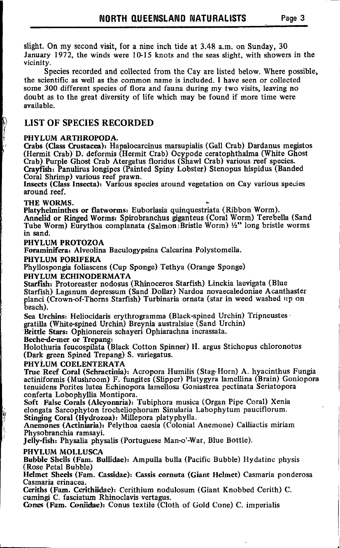slight. On my second visit, for a nine inch tide at 3.48 a.m. on Sunday, 30 January 1972, the winds were  $10-15$  knots and the seas slight, with showers in the vicinity.

Species recorded and collected from the Cay are listed below. Where possible, the scientific as well as the common name is included. I have seen or collected some 300 different species of flora and fauna during my two visits, leaving no doubt as to the great diversity of life which may be found if more time were available.

### LIST OF SPECIES RECORDED

#### PHYLUM ARTHROPODA.

C,rabs (Class Crustacea); Hapalocarcinus marsupialis (Gall Crab) Dardanus megistos (Hermit Crab) D. deformis (Hermit Crab) Ocypode ceratophthalma (White Ghost Crab) Purple Ghost Crab Atergatus floridus (Shawl Crab) various reef species. Crayfislr: Panulirus longipes (Painted Spiny Lobster) Stenopus hispidus (Banded Coral Shrimp) various reef prawn.

Insects (Class Insecta): Various species around vegetation on Cay various speuies around reef.

#### THE WORMS.

I

P

Platyhelminthes or flatworms: Euborlasia quinquestriata ( Ribbon Worm).

Annelid or Ringed Worms: Spirobranchus giganteus (Coral Worm) Terebella (Sand Tube Worm) Eurythoa complanata (Salmon Bristle Worm)  $1/2$ " long bristle worms in sand,

#### PHYLUM PROTOZOA

Foraminifera: Alveolina Baculogypsina Calcarina Polystomella.

#### PHYLUM PORIFERA

Phyllospongia foliascens (Cup Sponge) Tethya (Orange Sponge)

#### PHYLUM ECHINODERMATA

Starfish: Protoreaster nodosus (Rhinoceros Starfish) Linckia laevigata (Blue Starfish) Laganum depressum (Sand Dollar) Nardoa novaecaledoniae Acanthaster planci (Crown-of-Thorns Starfish) Turbinaria ornata (star in weed washed up on beach).

Sea Urchins: Heliocidaris erythrogramma (Black-spined Urchin) Tripneustes gratilla (White.spined Urchin) Breynia australsiae (Sand Urchin)

'Brittle Stars: Ophionereis schayeri Ophiarachna incrassata.

Bechedemer or Trepang:

Holothuria feucospilata (Black Cotton Spinner) H. argus Stichopus chloronotus (Dark green Spined Trepang) S. variegatus.

#### PHYLUM COELENTERATA

True Reef Coral (Schractinia): Acropora Humilis (Stag:Horn) A. hyacinthus Fungia actiniformis (Mushroom) F. fungites (Stipper) Platygyra lamellina (Brain) Goniopora tenuidens Porites lutea Echinopora lamellosa Goniastrea pectinata Seriatopora conferta Lobophyllia Montipora.

Soft False Corals (Alcyonaria): Tubiphora musica (Organ Pipe Coral) Xenia elongata Sarcophyton trocheliophorum Sinularia Labophytum pauciflorum. Stinging Coral (Hydrozoa): Millepora platyphylla.

Anemones (Actiniaria): Pelythoa caesia (Colonial Anemone) Calliactis miriarn Physobranchia ramsayi.

Jelly-fish: Physalia physalis (Portuguese Man-o'-War, Blue Bottle).

#### PHYLUM MOLLUSCA

Bubble Sbells (Fam. Bullidae): Ampulla bulla (Pacific Bubble) Hydatinc physis (Rose Petal Bubble)

Helmet Sheels (Fam. Cassidae): Cassis cornuta (Giant Helmet) Casmaria ponderosa Casmaria erinacea.

Ceriths (Fam. Cerithiidae): Cerithium nodulosum (Giant Knobbed Cerith) C. cumingi C. fasciatum Rhinoclavis vertagus.

Cones (Fam. Coniidae): Conus textile (Cloth of Gold Cone) C. imperialis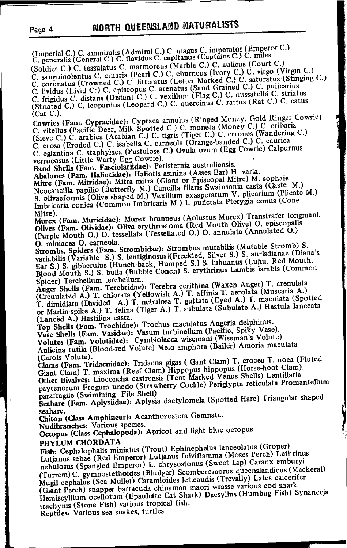(Imperial C.) C. ammiralis (Admiral C.) C. magus C. imperator (Emperor C.)<br>C. generalis (General C.) C. flavidus C. capitanus (Captains C.) C. miles (Soldier C.) C. tessulatus C. marmoreus (Marble C.) C. aulicus (Court C.)

C. sanguinolentus C. omaria (Pearl C.) C. eburneus (Ivory C.) C. virgo (Virgin C.)<br>C. coronatus (Crowned C.) C. litteratus (Letter Marked C.) C. saturatus (Stinging C.)<br>C. lividus (Livid C.) C. episcopus C. arenatus (Smd G C. frigidus C. distans (Distant C.) C. vexillum (Flag C.) C. nussatella C. striatus (Striated C.) C. leopardus (Leopard C.) C. quercinus C. rattus (Rat C.) C. catus  $(Cat C.).$ 

Cowries (Fam. Cypraeidae): Cypraea annulus (Ringed Money, Gold Ringer Cowrie) C. vitellus (Pacific Deer, Milk Spotted C.) C. moneta (Money C.) C. cribaria<br>(Sieve C.) C. arabica (Arabian C.) C. tigris (Tiger C.) C. errones (Wandering C.) C. erosa (Eroded C.) C. isabella C. carneola (Orange-banded C.) C. caurica C. eglantina C. staphylaea (Pustulose C.) Ovula ovum (Egg Cowrie) Calpurnus verrucosus (Little Warty Egg Cowrie).

Band Shells (Fam. Fasciolariidae): Peristernia australiensis.

Abalones (Fam. Haliotidae): Haliotis asinina (Asses Ear) H. varia. Mitre (Fam. Mitridae): Mitra mitra (Giant or Episcopal Mitre) M. sophaie Neocancilla papilio (Butterfly M.) Cancilla filaris Swainsonia casta (Gaste M.) S. olivaeformis (Olive shaped M.) Vexillum exasperatum V. plicarium (Plicate M.) Imbricaria conica (Common Imbricaris M.) I. punctata Pterygia conus (Cone Mitre).

Murex (Fam. Muricidae): Murex brunneus (Aolustus Murex) Transtrafer longmani. Olives (Fam. Olividae): Oliva erythrostoma (Red Mouth Olive) O. episcopalis (Purple Mouth O.) O. tessellata (Tessellated O.) O. annulata (Annulated O.) O. miniacea O. carneola.

Strombs, Spiders (Fam. Strombidae): Strombus mutabilis (Mutable Stromb) S. variabilis (Variable S.) S. lentiginosus (Freckled, Silver S.) S. aurisdianae (Diana's Ear S.) S. gibberulus (Hunch-back, Humped S.) S. luhuanus (Luhu, Red Mouth, Blood Mouth S.) S. bulla (Bubble Conch) S. erythrinus Lambis lambis (Common Spider) Terebellum terebellum.

Auger Shells (Fam. Terebridae): Terebra cerithina (Waxen Auger) T. crenulata (Crenulated A.) T. chlorata (Yellowish A.) T. affinis T. aerolata (Muscaria A.) T. dimidiata (Divided A.) T. nebulosa T. guttata (Eyed A.) T. maculata (Spotted<br>or Marlin-spike A.) T. felina (Tiger A.) T. subulata (Subulate A.) Hastula lanceata (Lanced A.) Hastilina casta.

Top Shells (Fam. Trochidae): Trochus maculatus Angeria delphinus. Vase Shells (Fam. Vasidae): Vasum turbinellum (Pacific, Spiky Vase). Volutes (Fam. Volutidae): Cymbiolacca wisemani (Wiseman's Volute) Aulicina rutila (Blood-red Volute) Melo amphora (Bailer) Amoria maculata (Carols Volute).

Clams (Fam. Tridacnidae): Tridacna gigas ( Gant Clam) T. crocea T. noea (Fluted Giant Clam) T. maxima (Reef Clam) Hippopus hippopus (Horse-hoof Clam). Other Bivalves: Lioconcha castrensis (Tent Marked Venus Shells) Lentillaria paytenorum Frogum unedo (Strawberry Cockle) Periglypta reticulata Promantellum

parafragile (Swimming File Shell) Scahare (Fam. Aplysiidae): Aplysia dactylomela (Spotted Hare) Triangular shaped seahare.

Chiton (Class Amphineur): Acanthozostera Gemnata.

Nudibranches: Various species.

Octopus (Class Cephalopoda): Apricot and light blue octopus

#### PHYLUM CHORDATA

Fish: Cephalophalis miniatus (Trout) Ephinephelus lanceolatus (Groper) Lutjanus sebae (Red Emperor) Lutjanus fulviflamma (Moses Perch) Lethrinus nebulosus (Spangled Emperor) L. chrysostonus (Sweet Lip) Caranx emburyi (Turrem) C. gymnostethoides (Bludger) Scomberomorus queenslandicus (Mackeral) Mugil cephalus (Sea Mullet) Caramloides letieaudis (Trevally) Lates calcerifer (Giant Perch) snapper barracuda chinaman maori wrasse various cod shark Hemiscyllium ocellotum (Epaulette Cat Shark) Dacsyllus (Humbug Fish) Synanceja trachynis (Stone Fish) various tropical fish.

Reptiles: Various sea snakes, turtles.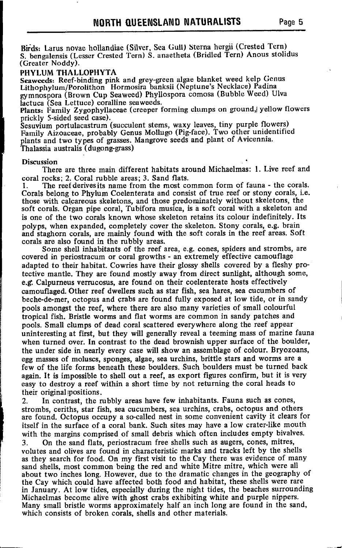Birds: Larus novae hollandiae (Silver, Sea Gull) Sterna hergii (Crested Tern) S. bengalensis (Lesser Crested Tern) S. anaetheta (Bridled Tern) Anous stolidus (Greater Noddy).

#### PHYLUM THALLOPHYTA

Seaweeds: Reef-binding pink and grey-green algae blanket weed kelp Genus Lithophylum/Porolithon Hormosira banksii (Neptune's Necklace) Padina rymnbspora (Brown Cup Seaweed) Phyllospora comosa (Bubble Weed) Ulva lactuca (Sea Lettuce) coralline seaweeds.

Plants: Family Zygophyllaceae (creeper forming clumps on ground, yellow flowers prickly S-sided seed case).

Sesuvium portulacastrum (succulent stems, waxy leaves, tiny purple flowers)<br>Family Aizoaceae, probably Genus Mollugo (Pig-face). Two other unidentified plants and two types of grasses. Mangrove seeds and plant of Avicennia. Thalassia australis.(dugong-grass)

#### Discussion

There are three main different habitats around Michaelmas: 1. Live reef and coral rocks: 2. Coral rubble areas: 3. Sand flats.

1. The reef derives its name from the most common form of fauna - the corals. Corals belong to Phylum Coelenterata and consist of true reef or stony corals, i.e. those with calcareous skeletons, and those predorninately without skeletons, the soft corals. Organ pipe coral, Tubifora musica, is a soft coral with a skeleton and is one of the two corals known whose skeleton retains its colour indefinitely. Its polyps, when expanded, completely cover the skeleton. Stony corals, e.g. brain and staghorn corals, are mainly found with the soft corals in the reef areas. Soft corals are also found in the rubbly areas.

Some shell inhabitants of the reef area, e.g. cones, spiders and strombs, are covered in periostracum or coral growths - an extremely effective camouflage adapted to their habitat. Cowries have their glossy shells covered by a fleshy protective mantle. They are found mostly away from direct sunlight, although some, e.g. Calpurneus verrucosus, are found on their coelenterate hosts effectively camouflaged. Other reef dwellers zuch as star fish, sea hares, sea cucumbers of beche-de-mer, octopus and grabs are found fully exposed at low tide, or in sandy pools amongst the reef, where there are also many varieties of small colourful tropical fish. Bristle worms and flat worms are common in sandy patches and pools. Small clumps of dead coral scattered everywhere along the reef appear uninteresting at first, but they will generally reveal a teeming mass of marine fauna when turned over. In contrast to the dead brownish upper zurface of the boulder, the under side in nearly every case will show an assemblage of colour. Bryozoans, egg masses of moluscs, sponges, algae, sea urchins, brittle stars and worms are a few of the life forms beneath these boulders. Such boulders must be turned back again. It is impossible to shell out a reef, as export figures confirm, but it is very easy to destroy a reef within a short time by not returning the coral heads to their original positions.<br>2. In contrast, the  $\mathbf{r}$ 

In contrast, the rubbly areas have few inhabitants. Fauna such as cones, strombs, ceriths, star fish, sea cucumbers, sea urchins, crabs, octopus and others are found. Octopus occupy a so-called nest in some convenient cavity it clears for itself in the surface of a coral bank. Such sites may have a low crater-like mouth with the margins comprised of small debris which often includes empty bivalves. 3. On the sand flats, periostracum free shells such as augers, cones, mitres, volutes and olives are found in characteristic marks and tracks left by the shells as they search for food. On my first visit to the Cay there was evidence of many sand shells, most common being the red and white Mitre mitre, which were all about two inches long. However, due to the dramatic changes in the geography of the Cay which could have affected both food and habitat, these shells were rare in January. At low tides, especially during the night tides, the beaches surrounding Michaelmas become alive with ghost crabs exhibiting white and purple nippers. Many small bristle worms approximately half an inch long are found in the sand, which consists of broken corals. shells and other materials.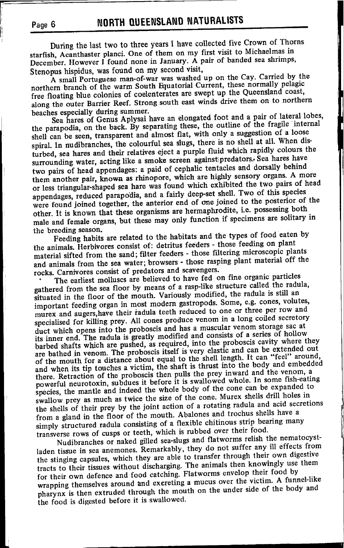During the last two to three years I have collected five Crown of Thorns starfish, Acanthaster planci. One of them on my first visit to Michaelmas in December. However I found none in January. A pair of banded sea shrimps, Stenopus hispidus, was found on my second visit,

A small Portuguese man-of-war was washed up on the Cay. Carried by the northern branch of the warm South Equatorial Current, these normally pelagic free floating blue colonies of coelenterates are swept up the Queensland coast, along the outer Barrier Reef. Strong south east winds drive them on to northern beaches especially during summer.

Sea hares of Genus Aplysai have an elongated foot and a pair of lateral lobes, the parapodia, on the back. By separating these, the outline of the fragile internal shell can be seen, transparent and almost flat, with only a suggestion of a loose spiral. In nudibranches, the colourful sea slugs, there is no shell at all. When disturbed, sea hares and their relatives eject a purple fluid which rapidly colours the surrounding water, acting like a smoke screen against predators. Sea hares have two pairs of head appendages: a paid of cephalic tentacles and dorsally behind them another pair, known as rhinopore, which are highly sensory organs. A more or less triangular-shaped sea hare was found which exhibited the two pairs of head appendages, reduced parapodia, and a fairly deep-set shell. Two of this species were found joined together, the anterior end of one joined to the posterior of the other. It is known that these organisms are hermaphrodite, i.e. possessing both male and female organs, but these may only function if specimens are solitary in the breeding season.

Feeding habits are related to the habitats and the types of food eaten by the animals. Herbivores consist of: detritus feeders - those feeding on plant material sifted from the sand; filter feeders - those filtering microscopic plants and animals from the sea water; browsers - those rasping plant material off the rocks. Carnivores consist of predators and scavengers.

The earliest molluscs are believed to have fed on fine organic particles gathered from the sea floor by means of a rasp-like structure called the radula, situated in the floor of the mouth. Variously modified, the radula is still an important feeding organ in most modern gastropods. Some, e.g. cones, volutes, murex and augers, have their radula teeth reduced to one or three per row and specialised for killing prey. All cones produce venom in a long coiled secretory duct which opens into the proboscis and has a muscular venom storage sac at its inner end. The radula is greatly modified and consists of a series of hollow barbed shafts which are pushed, as required, into the proboscis cavity where they are bathed in venom. The proboscis itself is very elastic and can be extended out<br>of the mouth for a distance about equal to the shell length. It can "feel" around, and when its tip touches a victim, the shaft is thrust into the body and embedded there. Retraction of the proboscis then pulls the prey inward and the venom, a powerful neurotoxin, subdues it before it is swallowed whole. In some fish-eating species, the mantle and indeed the whole body of the cone can be expanded to swallow prey as much as twice the size of the cone. Murex shells drill holes in the shells of their prey by the joint action of a rotating radula and acid secretions from a gland in the floor of the mouth. Abalones and trochus shells have a simply structured radula consisting of a flexible chitinous strip bearing many transverse rows of cusps or teeth, which is rubbed over their food.

Nudibranches or naked gilled sea-slugs and flatworms relish the nematocystladen tissue in sea anemones. Remarkably, they do not suffer any ill effects from the stinging capsules, which they are able to transfer through their own digestive tracts to their tissues without discharging. The animals then knowingly use them for their own defence and food catching. Flatworms envelop their food by wrapping themselves around and excreting a mucus over the victim. A funnel-like pharynx is then extruded through the mouth on the under side of the body and the food is digested before it is swallowed.

Page 6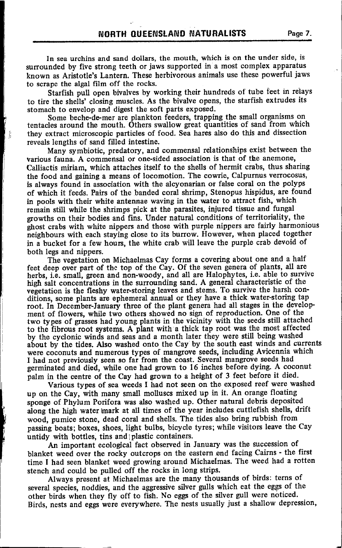In sea urchins and sand dollars, the mouth, which is on the under side, is surrounded by five strong teeth or jaws supported in a most complex apparatus known as Aristotle's Lantern. These herbivorous animals use these powerful jaws to scrape the algal film off the rocks.

Starfish pull open bivalves by working their hundreds of tube feet in relays to tire the sheils' closing muscles. As the bivalve opens, the starfish extrudes its stomach to envelop and digest the soft parts exposed.

Some beche-de-mer are plankton feeders, trapping the small organisms on tentacles around the mouth. Others swallow gieat quantities of sand from which they extract microscopic particles of food. Sea hares also do this and dissection reveals lengths of sand filled intestine.

Many symbiotic, predatory, and commensal relationships exist between the various fauna. A commensal or one-sided association is that of the anemone, Calliactis miriam, which attaches itself to the shells of hermit crabs, thus sharing the food and gaining a means of locomotion. The cowrie, Calpurnus verrocosus, is always found in association with the alcyonarian or false coral on the polyps of which it feeds. Pairs of the banded coral shrimp, Stenopus hispidus, are found in pools with their white antennae waving in the water to attract fish, which remain still while the shrimps pick at the parasites, injured tissue and fungal growths on their bodies and fins. Under natural conditions of territoriality, the ghost crabs with white nippers and those with purple nippers are fairly harmonious neighbours with each staying close to its burrow. However, when placed together in a bucket for a few hours, the white crab will leave the purple crab devoid of both legs and nippers.

The vegetation on Michaelmas Cay forms a covering about one and a half feet deep over part of the top of the Cay. Of the seven genera of plants, all are herbs, i.6. smali, green and non-woody, and all are Halophytes, i.e. able to survive high salt concentrations in the surrounding sand. A general characteristic of the vegetation is the fleshy water-storing leaves and stems. To survive the harsh conditions, some plants are ephemeral annual or they have a thick water-storing tap root. In December-January three of the plant genera had all stages in the development of flowers, while two others showed no sign of reproduction. One of the two types of grasses had young plants in the vicinity with the seeds still attached to the fibrous root systems. A plant with a thick tap root was the most affected by the cyclonic winds and seas-and a month later they were still being washed about by the tides. Also washed onto the Cay by the south east winds and currents were coconuts and numerous types of mangrove seeds, including Avicennia which I had not previously seen so far from the coast. Several mangrove seeds had germinated and died, while one had grown to 16 inches before dying. A coconut palm in the centre of the Cay had grown to a height of 3 feet before it died.

Various types of sea weeds I had not seen on the exposed reef were Washed up on the Cay, with many small molluscs mixed up in it. An orange floating sponge of Phylum Porifora was also washed up. Other natural debris deposited along the high water mark at all times of the year includes cuttlefish shells, drift wood, pumice stone, dead coral and shells. The tides also bring rubbish from passing boats; boxes, shoes, light bulbs, bicycle tyres; while visitors leave the Cay untidy with bottles, tins and plastic containers.

An important ecological fact observed in January was the succession of blanket weed over the rocky outcrops on the eastern end facing Cairns - the first time I had seen blanket weed growing around Michaelmas. The weed had a rotten stench and could be pulled off the rocks in long strips.

Always present at Michaelmas are the many thousands of birds: terns of several species, noddies, and the aggressive silver gulls which eat the eggs of the other birds when they fly off to fish. No eggs of the silver gull were noticed. Birds, nests and eggs were everywhere. The nests usually just a shallow depression,